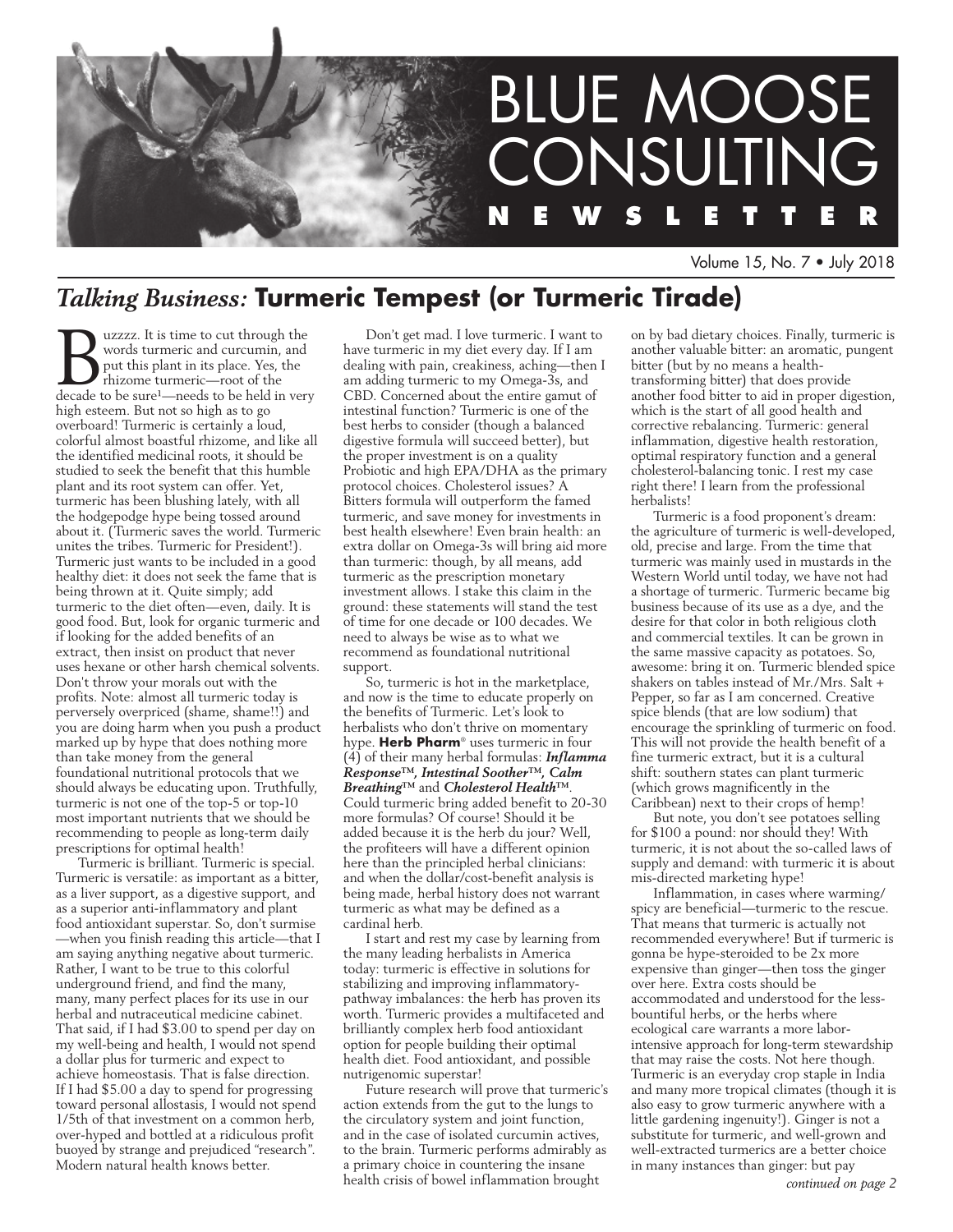

Volume 15, No. 7 • July 2018

# *Talking Business:* **Turmeric Tempest (or Turmeric Tirade)**

**BUZZZZ.** It is time to cut through the words turneric and curcumin, and put this plant in its place. Yes, the rhizome turneric—root of the decade to be sure<sup>1</sup>—needs to be held in very words turmeric and curcumin, and put this plant in its place. Yes, the rhizome turmeric—root of the high esteem. But not so high as to go overboard! Turmeric is certainly a loud, colorful almost boastful rhizome, and like all the identified medicinal roots, it should be studied to seek the benefit that this humble plant and its root system can offer. Yet, turmeric has been blushing lately, with all the hodgepodge hype being tossed around about it. (Turmeric saves the world. Turmeric unites the tribes. Turmeric for President!). Turmeric just wants to be included in a good healthy diet: it does not seek the fame that is being thrown at it. Quite simply; add turmeric to the diet often—even, daily. It is good food. But, look for organic turmeric and if looking for the added benefits of an extract, then insist on product that never uses hexane or other harsh chemical solvents. Don't throw your morals out with the profits. Note: almost all turmeric today is perversely overpriced (shame, shame!!) and you are doing harm when you push a product marked up by hype that does nothing more than take money from the general foundational nutritional protocols that we should always be educating upon. Truthfully, turmeric is not one of the top-5 or top-10 most important nutrients that we should be recommending to people as long-term daily prescriptions for optimal health!

Turmeric is brilliant. Turmeric is special. Turmeric is versatile: as important as a bitter, as a liver support, as a digestive support, and as a superior anti-inflammatory and plant food antioxidant superstar. So, don't surmise —when you finish reading this article—that I am saying anything negative about turmeric. Rather, I want to be true to this colorful underground friend, and find the many, many, many perfect places for its use in our herbal and nutraceutical medicine cabinet. That said, if I had \$3.00 to spend per day on my well-being and health, I would not spend a dollar plus for turmeric and expect to achieve homeostasis. That is false direction. If I had \$5.00 a day to spend for progressing toward personal allostasis, I would not spend 1/5th of that investment on a common herb, over-hyped and bottled at a ridiculous profit buoyed by strange and prejudiced "research". Modern natural health knows better.

Don't get mad. I love turmeric. I want to have turmeric in my diet every day. If I am dealing with pain, creakiness, aching—then I am adding turmeric to my Omega-3s, and CBD. Concerned about the entire gamut of intestinal function? Turmeric is one of the best herbs to consider (though a balanced digestive formula will succeed better), but the proper investment is on a quality Probiotic and high EPA/DHA as the primary protocol choices. Cholesterol issues? A Bitters formula will outperform the famed turmeric, and save money for investments in best health elsewhere! Even brain health: an extra dollar on Omega-3s will bring aid more than turmeric: though, by all means, add turmeric as the prescription monetary investment allows. I stake this claim in the ground: these statements will stand the test of time for one decade or 100 decades. We need to always be wise as to what we recommend as foundational nutritional support.

So, turmeric is hot in the marketplace, and now is the time to educate properly on the benefits of Turmeric. Let's look to herbalists who don't thrive on momentary hype. **Herb Pharm**® uses turmeric in four (4) of their many herbal formulas: *Inflamma Response™, Intestinal Soother™, Calm Breathing™* and *Cholesterol Health™*. Could turmeric bring added benefit to 20-30 more formulas? Of course! Should it be added because it is the herb du jour? Well, the profiteers will have a different opinion here than the principled herbal clinicians: and when the dollar/cost-benefit analysis is being made, herbal history does not warrant turmeric as what may be defined as a cardinal herb.

I start and rest my case by learning from the many leading herbalists in America today: turmeric is effective in solutions for stabilizing and improving inflammatorypathway imbalances: the herb has proven its worth. Turmeric provides a multifaceted and brilliantly complex herb food antioxidant option for people building their optimal health diet. Food antioxidant, and possible nutrigenomic superstar!

Future research will prove that turmeric's action extends from the gut to the lungs to the circulatory system and joint function, and in the case of isolated curcumin actives, to the brain. Turmeric performs admirably as a primary choice in countering the insane health crisis of bowel inflammation brought

on by bad dietary choices. Finally, turmeric is another valuable bitter: an aromatic, pungent bitter (but by no means a healthtransforming bitter) that does provide another food bitter to aid in proper digestion, which is the start of all good health and corrective rebalancing. Turmeric: general inflammation, digestive health restoration, optimal respiratory function and a general cholesterol-balancing tonic. I rest my case right there! I learn from the professional herbalists!

Turmeric is a food proponent's dream: the agriculture of turmeric is well-developed, old, precise and large. From the time that turmeric was mainly used in mustards in the Western World until today, we have not had a shortage of turmeric. Turmeric became big business because of its use as a dye, and the desire for that color in both religious cloth and commercial textiles. It can be grown in the same massive capacity as potatoes. So, awesome: bring it on. Turmeric blended spice shakers on tables instead of Mr./Mrs. Salt + Pepper, so far as I am concerned. Creative spice blends (that are low sodium) that encourage the sprinkling of turmeric on food. This will not provide the health benefit of a fine turmeric extract, but it is a cultural shift: southern states can plant turmeric (which grows magnificently in the Caribbean) next to their crops of hemp!

But note, you don't see potatoes selling for \$100 a pound: nor should they! With turmeric, it is not about the so-called laws of supply and demand: with turmeric it is about mis-directed marketing hype!

Inflammation, in cases where warming/ spicy are beneficial—turmeric to the rescue. That means that turmeric is actually not recommended everywhere! But if turmeric is gonna be hype-steroided to be 2x more expensive than ginger—then toss the ginger over here. Extra costs should be accommodated and understood for the lessbountiful herbs, or the herbs where ecological care warrants a more laborintensive approach for long-term stewardship that may raise the costs. Not here though. Turmeric is an everyday crop staple in India and many more tropical climates (though it is also easy to grow turmeric anywhere with a little gardening ingenuity!). Ginger is not a substitute for turmeric, and well-grown and well-extracted turmerics are a better choice in many instances than ginger: but pay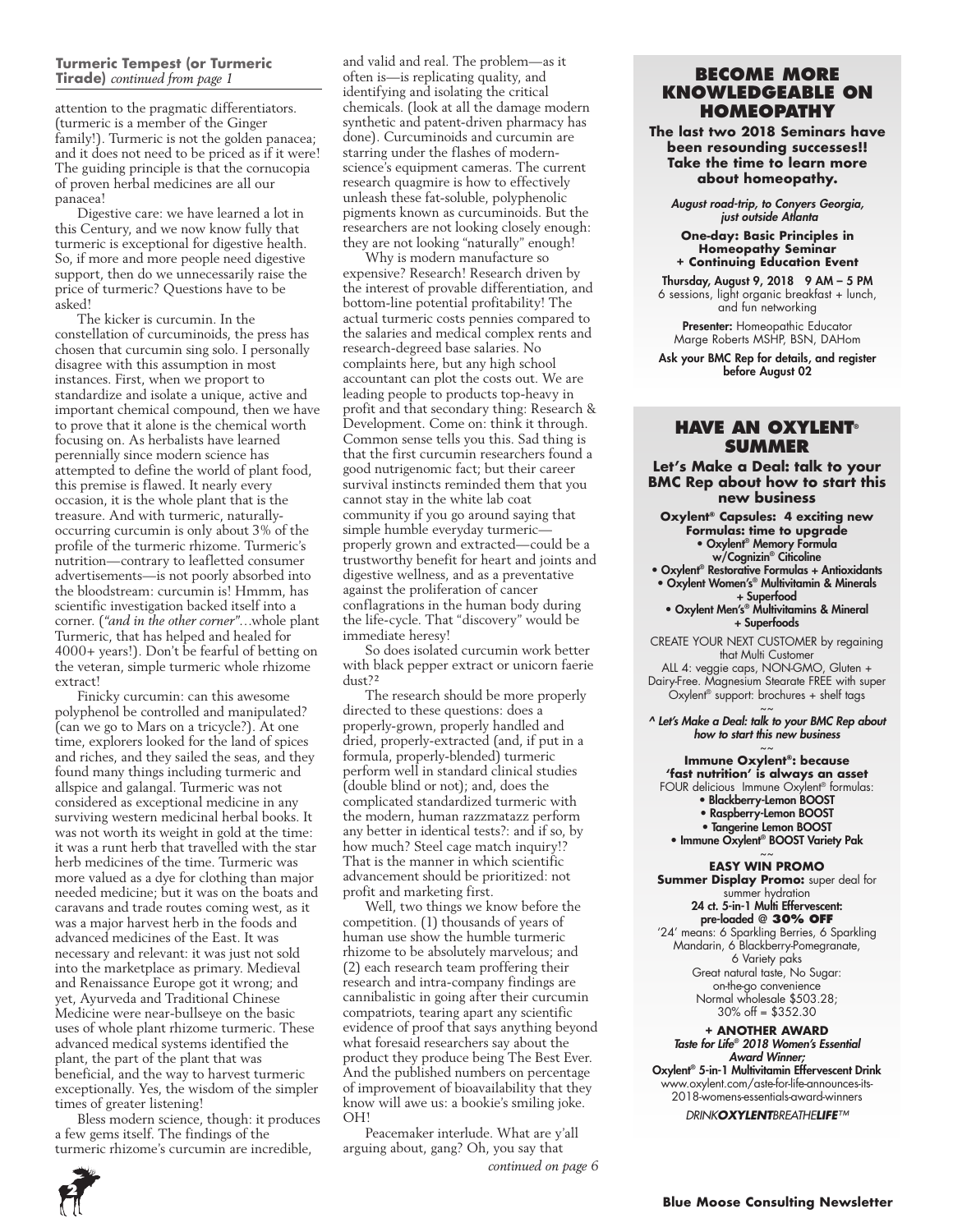#### Turmeric Tempest (or Turmeric **Tirade)** *continued from page 1*

attention to the pragmatic differentiators. (turmeric is a member of the Ginger family!). Turmeric is not the golden panacea; and it does not need to be priced as if it were! The guiding principle is that the cornucopia of proven herbal medicines are all our panacea!

Digestive care: we have learned a lot in this Century, and we now know fully that turmeric is exceptional for digestive health. So, if more and more people need digestive support, then do we unnecessarily raise the price of turmeric? Questions have to be asked!

The kicker is curcumin. In the constellation of curcuminoids, the press has chosen that curcumin sing solo. I personally disagree with this assumption in most instances. First, when we proport to standardize and isolate a unique, active and important chemical compound, then we have to prove that it alone is the chemical worth focusing on. As herbalists have learned perennially since modern science has attempted to define the world of plant food, this premise is flawed. It nearly every occasion, it is the whole plant that is the treasure. And with turmeric, naturallyoccurring curcumin is only about 3% of the profile of the turmeric rhizome. Turmeric's nutrition—contrary to leafletted consumer advertisements—is not poorly absorbed into the bloodstream: curcumin is! Hmmm, has scientific investigation backed itself into a corner. (*"and in the other corner"*…whole plant Turmeric, that has helped and healed for 4000+ years!). Don't be fearful of betting on the veteran, simple turmeric whole rhizome extract!

Finicky curcumin: can this awesome polyphenol be controlled and manipulated? (can we go to Mars on a tricycle?). At one time, explorers looked for the land of spices and riches, and they sailed the seas, and they found many things including turmeric and allspice and galangal. Turmeric was not considered as exceptional medicine in any surviving western medicinal herbal books. It was not worth its weight in gold at the time: it was a runt herb that travelled with the star herb medicines of the time. Turmeric was more valued as a dye for clothing than major needed medicine; but it was on the boats and caravans and trade routes coming west, as it was a major harvest herb in the foods and advanced medicines of the East. It was necessary and relevant: it was just not sold into the marketplace as primary. Medieval and Renaissance Europe got it wrong; and yet, Ayurveda and Traditional Chinese Medicine were near-bullseye on the basic uses of whole plant rhizome turmeric. These advanced medical systems identified the plant, the part of the plant that was beneficial, and the way to harvest turmeric exceptionally. Yes, the wisdom of the simpler times of greater listening!

Bless modern science, though: it produces a few gems itself. The findings of the turmeric rhizome's curcumin are incredible,

and valid and real. The problem—as it **Commence is a set of the intervallent often is—is replicating quality, and <b>BECOME MORE** identifying and isolating the critical chemicals. (look at all the damage modern synthetic and patent-driven pharmacy has done). Curcuminoids and curcumin are starring under the flashes of modernscience's equipment cameras. The current research quagmire is how to effectively unleash these fat-soluble, polyphenolic pigments known as curcuminoids. But the researchers are not looking closely enough: they are not looking "naturally" enough!

Why is modern manufacture so expensive? Research! Research driven by the interest of provable differentiation, and bottom-line potential profitability! The actual turmeric costs pennies compared to the salaries and medical complex rents and research-degreed base salaries. No complaints here, but any high school accountant can plot the costs out. We are leading people to products top-heavy in profit and that secondary thing: Research & Development. Come on: think it through. Common sense tells you this. Sad thing is that the first curcumin researchers found a good nutrigenomic fact; but their career survival instincts reminded them that you cannot stay in the white lab coat community if you go around saying that simple humble everyday turmeric properly grown and extracted—could be a trustworthy benefit for heart and joints and digestive wellness, and as a preventative against the proliferation of cancer conflagrations in the human body during the life-cycle. That "discovery" would be immediate heresy!

So does isolated curcumin work better with black pepper extract or unicorn faerie  $d$ <sub>11st</sub>?<sup>2</sup>

The research should be more properly directed to these questions: does a properly-grown, properly handled and dried, properly-extracted (and, if put in a formula, properly-blended) turmeric perform well in standard clinical studies (double blind or not); and, does the complicated standardized turmeric with the modern, human razzmatazz perform any better in identical tests?: and if so, by how much? Steel cage match inquiry!? That is the manner in which scientific advancement should be prioritized: not profit and marketing first.

Well, two things we know before the competition. (1) thousands of years of human use show the humble turmeric rhizome to be absolutely marvelous; and (2) each research team proffering their research and intra-company findings are cannibalistic in going after their curcumin compatriots, tearing apart any scientific evidence of proof that says anything beyond what foresaid researchers say about the product they produce being The Best Ever. And the published numbers on percentage of improvement of bioavailability that they know will awe us: a bookie's smiling joke. OH!

Peacemaker interlude. What are y'all arguing about, gang? Oh, you say that *continued on page 6*

# **KNOwleDGeABle ON HOMeOPAtHY**

**The last two 2018 Seminars have been resounding successes!! Take the time to learn more about homeopathy.**

*August road-trip, to Conyers Georgia, just outside Atlanta*

**One-day: Basic Principles in Homeopathy Seminar + Continuing Education Event** 

Thursday, August 9, 2018  $9$  AM - 5 PM 6 sessions, light organic breakfast + lunch, and fun networking

Presenter: Homeopathic Educator Marge Roberts MSHP, BSN, DAHom

Ask your BMC Rep for details, and register before August 02

#### **HAve AN OxYleNt® suMMer**

**Let's Make a Deal: talk to your BMC Rep about how to start this new business**

**Oxylent® Capsules: 4 exciting new Formulas: time to upgrade** • Oxylent® Memory Formula w/Cognizin® Citicoline

• Oxylent® Restorative Formulas + Antioxidants • Oxylent Women's® Multivitamin & Minerals

+ Superfood • Oxylent Men's® Multivitamins & Mineral + Superfoods

CREATE YOUR NEXT CUSTOMER by regaining that Multi Customer

ALL 4: veggie caps, NON-GMO, Gluten + Dairy-Free. Magnesium Stearate FREE with super  $O$ xylent<sup>®</sup> support: brochures + shelf tags

 $\sim$   $\sim$ *^ Let's Make a Deal: talk to your BMC Rep about how to start this new business*

 $\sim$   $\sim$ **Immune Oxylent®: because 'fast nutrition' is always an asset** FOUR delicious Immune Oxylent<sup>®</sup> formulas: • Blackberry-Lemon BOOST • Raspberry-Lemon BOOST • Tangerine Lemon BOOST

• Immune Oxylent® BOOST Variety Pak  $\sim$   $\sim$ 

**EASy WIN PROMO**

**Summer Display Promo:** super deal for summer hydration 24 ct. 5-in-1 Multi Effervescent: pre-loaded @ **30% Off** '24' means: 6 Sparkling Berries, 6 Sparkling Mandarin, 6 Blackberry-Pomegranate, 6 Variety paks Great natural taste, No Sugar: on-the-go convenience Normal wholesale \$503.28; 30% off = \$352.30

**+ ANOTHER AWARD** *Taste for Life® 2018 Women's Essential* 

*Award Winner;* Oxylent® 5-in-1 Multivitamin Effervescent Drink www.oxylent.com/aste-for-life-announces-its-2018-womens-essentials-award-winners

*DRINKOXYLENTBREATHELIFE™*

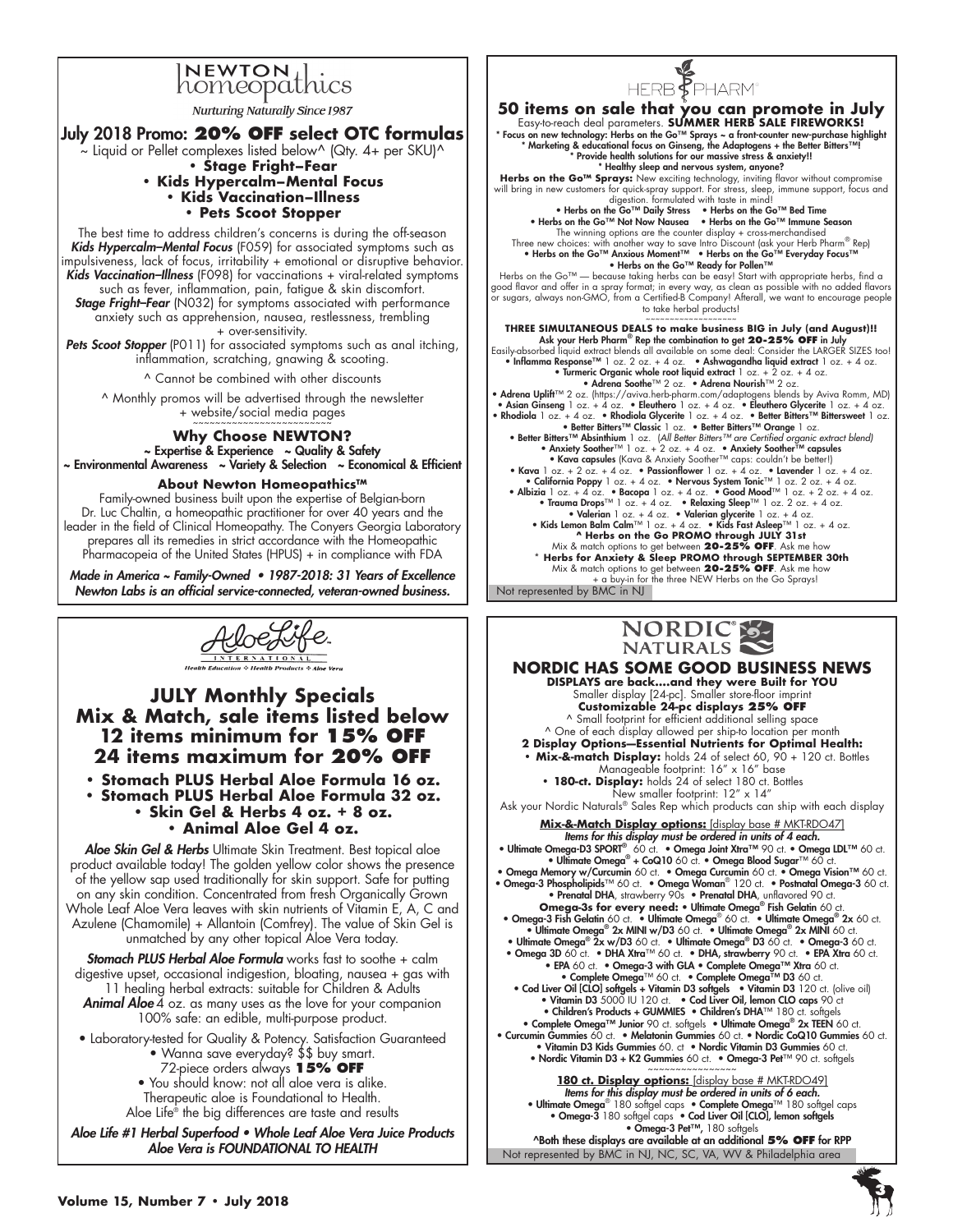# INEWTON lics

Nurturing Naturally Since 1987

## July 2018 Promo: **20% Off select OTC formulas**

 $\sim$  Liquid or Pellet complexes listed below^ (Qty. 4+ per SKU)^ **• Stage Fright–Fear** 

#### **• Kids Hypercalm–Mental Focus • Kids Vaccination–Illness • Pets Scoot Stopper**

The best time to address children's concerns is during the off-season *Kids Hypercalm–Mental Focus* (F059) for associated symptoms such as impulsiveness, lack of focus, irritability + emotional or disruptive behavior. Kids Vaccination-Illness (F098) for vaccinations + viral-related symptoms such as fever, inflammation, pain, fatigue & skin discomfort.

*Stage Fright–Fear* (N032) for symptoms associated with performance anxiety such as apprehension, nausea, restlessness, trembling + over-sensitivity.

Pets Scoot Stopper (P011) for associated symptoms such as anal itching, inflammation, scratching, gnawing & scooting.

^ Cannot be combined with other discounts

^ Monthly promos will be advertised through the newsletter + website/social media pages ~~~~~~~~~~~~~~~~~~~~~~~~~

### **Why Choose NEWTON?**

~ Expertise & Experience ~ Quality & Safety ~ Environmental Awareness ~ Variety & Selection ~ Economical & Efficient

#### **About Newton Homeopathics™**

Family-owned business built upon the expertise of Belgian-born Dr. luc Chaltin, a homeopathic practitioner for over 40 years and the leader in the field of Clinical Homeopathy. The Conyers Georgia Laboratory prepares all its remedies in strict accordance with the Homeopathic Pharmacopeia of the United States (HPUS) + in compliance with FDA

Made in America ~ Family-Owned • *1987-2018: 31 Years of Excellence* Newton Labs is an official service-connected, veteran-owned business.



**JULY Monthly Specials Mix & Match, sale items listed below 12 items minimum for 15% Off 24 items maximum for 20% Off**

**• Stomach PLUS Herbal Aloe Formula 16 oz. • Stomach PLUS Herbal Aloe Formula 32 oz. • Skin Gel & Herbs 4 oz. + 8 oz. • Animal Aloe Gel 4 oz.**

Aloe Skin Gel & Herbs Ultimate Skin Treatment. Best topical aloe product available today! The golden yellow color shows the presence of the yellow sap used traditionally for skin support. Safe for putting on any skin condition. Concentrated from fresh Organically Grown Whole Leaf Aloe Vera leaves with skin nutrients of Vitamin E, A, C and Azulene (Chamomile) + Allantoin (Comfrey). The value of Skin Gel is unmatched by any other topical Aloe Vera today.

*Stomach PLUS Herbal Aloe Formula* works fast to soothe + calm digestive upset, occasional indigestion, bloating, nausea + gas with 11 healing herbal extracts: suitable for Children & Adults Animal Aloe 4 oz. as many uses as the love for your companion *Animal Aloe*

100% safe: an edible, multi-purpose product. • Laboratory-tested for Quality & Potency. Satisfaction Guaranteed

- Wanna save everyday? \$\$ buy smart.
	- 72-piece orders always **15% Off**
- You should know: not all aloe vera is alike. Therapeutic aloe is Foundational to Health.

Aloe Life® the big differences are taste and results

Aloe Life #1 Herbal Superfood • Whole Leaf Aloe Vera Juice Products Aloe Vera is FOUNDATIONAL TO HEALTH



Not represented by BMC in NJ **50 items on sale that you can promote in July** easy-to-reach deal parameters. **SUMMER HERB SALE FIREWORKS!** \* Focus on new technology: Herbs on the Go™ Sprays ~ a front-counter new-purchase highlight \* Marketing & educational focus on Ginseng, the Adaptogens + the Better Bitters™! \* Provide health solutions for our massive stress & anxiety!! \* Healthy sleep and nervous system, anyone? Herbs on the Go™ Sprays: New exciting technology, inviting flavor without compromise will bring in new customers for quick-spray support. For stress, sleep, immune support, focus and digestion. formulated with taste in mind! • Herbs on the Go™ Daily Stress • Herbs on the Go™ Bed Time • Herbs on the Go™ Not Now Nausea • Herbs on the Go™ Immune Season the winning options are the counter display + cross-merchandised Three new choices: with another way to save Intro Discount (ask your Herb Pharm® Rep)<br>• Herbs on the Go™ Anxious Moment™ • Herbs on the Go™ Everyday Focus™<br>• Herbs on the Go™ Ready for Pollen™ Herbs on the Go™ — because taking herbs can be easy! Start with appropriate herbs, find a<br>good flavor and offer in a spray format; in every way, as clean as possible with no added flavors<br>or sugars, always non-GMO, from a to take herbal products! **THREE SIMULTANEOUS DEALS for more business BIG in July (and August)!!**<br>Ask your Herb Pharm® Rep the combination to get 20-25% OFF in July<br>Easily-absorbed liquid extract blends all available on some deal: Consider the LA • Kava 1 oz. + 2 oz. + 4 oz. • Passionflower 1 oz. + 4 oz. • Lavender 1 oz. + 4 oz.<br>
• California Poppy 1 oz. + 4 oz. • Nervous System Tonic<sup>TM</sup> 1 oz. 2 oz. + 4 oz.<br>
• Albizia 1 oz. + 4 oz. • Bacopa 1 oz. + 4 oz. • Relaxi



**NORDIC HAS SOME GOOD BUSINESS NEWS DISPLAyS are back….and they were Built for yOU** smaller display [24-pc]. smaller store-floor imprint **Customizable 24-pc displays 25% Off** ^ small footprint for efficient additional selling space ^ one of each display allowed per ship-to location per month **2 Display Options—Essential Nutrients for Optimal Health: • Mix-&-match Display:** holds 24 of select 60, 90 + 120 ct. Bottles Manageable footprint: 16" x 16" base **• 180-ct. Display:** holds 24 of select 180 ct. Bottles New smaller footprint: 12" x 14" Ask your Nordic Naturals® Sales Rep which products can ship with each display **Mix-&-Match Display options:** [display base # MKT-RDO47] Items for this display must be ordered in units of 4 each. • Ultimate Omega-D3 SPORT® 60 cf. • Omega Joint Xtra™ 90 ct. • Omega IDL™ 60 ct.<br>• Ultimate Omega® + CoQ10 60 ct. • Omega Blood Sugar™ 60 ct. • Omega Memory w/Curcumin 60 ct. • Omega Curcumin 60 ct. • Omega Vision™ 60 ct.<br>• Omega-3 Phospholipids™ 60 ct. • Omega Woman® 120 ct. • Postnatal Omega-3 60 ct.<br>• Prenatal DHA, strawberry 90s • Prenatal DHA, unflavored 9 **Omega-3s for every need: • Ultimate Omega® Fish Gelatin** 60 ct.<br>• Omega-3 Fish Gelatin 60 ct. • Ultimate Omega® 60 ct. • Ultimate Omega® 2x 60 ct.<br>• Ultimate Omega® 2x MINI w/D3 60 ct. • Ultimate Omega® 2x MINI 60 ct.<br>• • EPA 60 ct. • Omega-3 with GLA • Complete Omega™ Xtra 60 ct.<br>• Cord Liver Oil [CLO] softgels + Vitamin D3 softgels • Vitamin D3 120 ct. (clive oil)<br>• Cod Liver Oil [CLO] softgels + Vitamin D3 softgels • Vitamin D3 120 ct • Vitamin D3 Kids Gummies 60. ct • Nordic Vitamin D3 Gummies 60 ct. • Nordic Vitamin D3 + K2 Gummies 60 ct. • Omega-3 Pet™ 90 ct. softgels 180 ct. Display options: [display base # MKT-RDO49] Items for this display must be ordered in units of 6 each. • Ultimate Omega® 180 softgel caps • Complete Omega™ 180 softgel caps • Omega-3 180 softgel caps • Cod Liver Oil [CLO], lemon softgels • Omega-3 Pet™, 180 softgels

Not represented by BMC in NJ, NC, SC, VA, WV & Philadelphia area ^Both these displays are available at an additional **5% Off** for RPP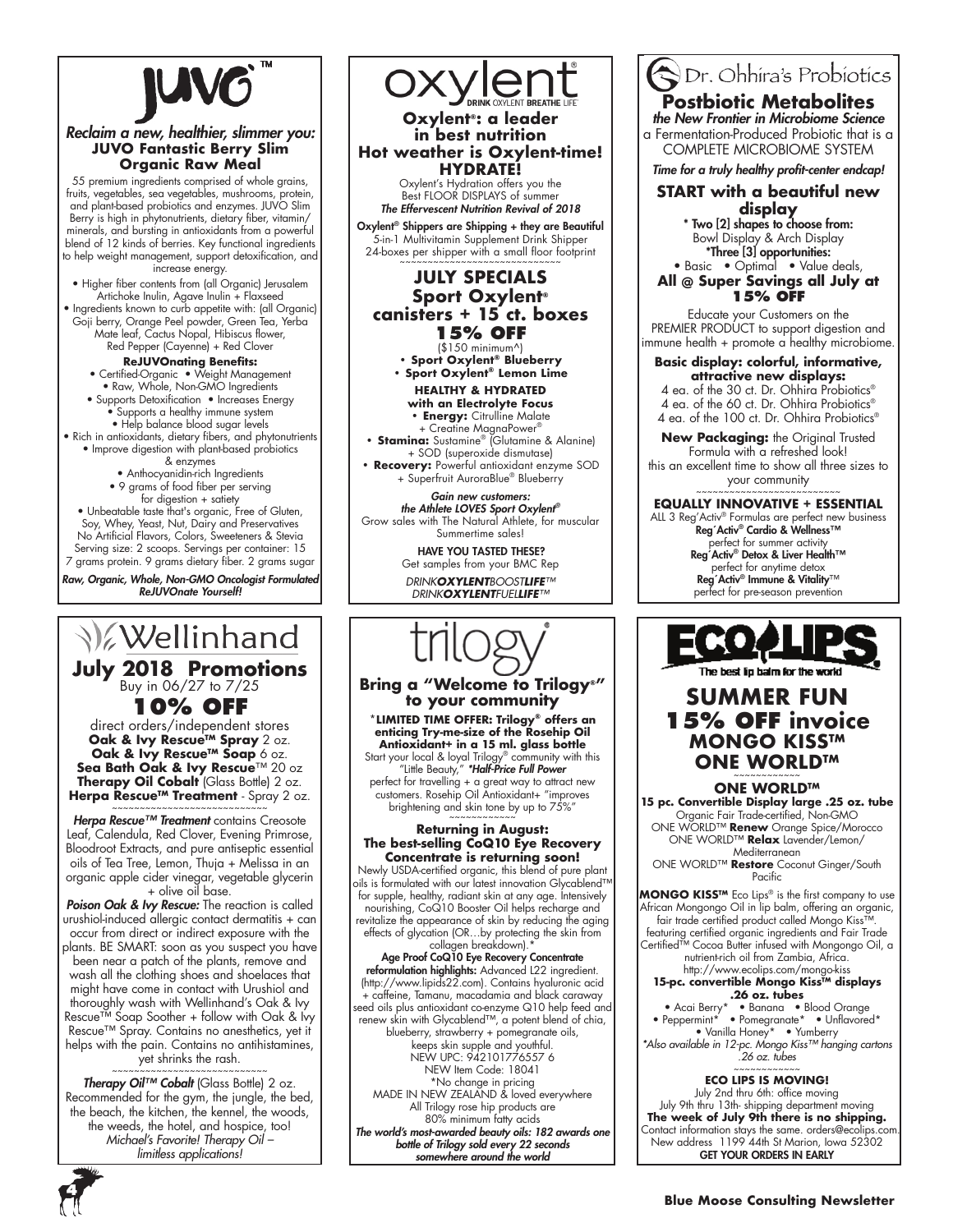

#### *Reclaim a new, healthier, slimmer you:* **JUVO Fantastic Berry Slim Organic Raw Meal**

55 premium ingredients comprised of whole grains, fruits, vegetables, sea vegetables, mushrooms, protein, and plant-based probiotics and enzymes. JUVO Slim Berry is high in phytonutrients, dietary fiber, vitamin/ minerals, and bursting in antioxidants from a powerful blend of 12 kinds of berries. Key functional ingredients to help weight management, support detoxification, and increase energy.

• Higher fiber contents from (all Organic) Jerusalem Artichoke inulin, Agave inulin + Flaxseed • Ingredients known to curb appetite with: (all Organic)

Goji berry, Orange Peel powder, Green Tea, Yerba Mate leaf, Cactus Nopal, Hibiscus flower, Red Pepper (Cayenne) + Red Clover

**ReJUVOnating Benefits:**<br>Certified-Organic • Weight Management • • Raw, Whole, Non-GMO Ingredients

• Supports Detoxification • Increases Energy • Supports a healthy immune system

• Help balance blood sugar levels

• Rich in antioxidants, dietary fibers, and phytonutrients • Improve digestion with plant-based probiotics

& enzymes • Anthocyanidin-rich Ingredients

• 9 grams of food fiber per serving for digestion + satiety

• Unbeatable taste that's organic, Free of Gluten, Soy, Whey, Yeast, Nut, Dairy and Preservatives No Artificial Flavors, Colors, Sweeteners & Stevia Serving size: 2 scoops. Servings per container: 15 7 grams protein. 9 grams dietary fiber. 2 grams sugar

Raw, Organic, Whole, Non-GMO Oncologist Formulated ReJUVOnate Yourself!

**Wellinhand July 2018 Promotions** 

**10% Off** direct orders/independent stores

**Oak & Ivy Rescue™ Spray** 2 oz. **Oak & Ivy Rescue™ Soap** 6 oz. **Sea Bath Oak & Ivy Rescue**™ 20 oz **Therapy Oil Cobalt** (Glass Bottle) 2 oz. Herpa Rescue™ Treatment - Spray 2 oz.

*Herpa Rescue™ Treatment* contains Creosote Leaf, Calendula, Red Clover, Evening Primrose, Bloodroot Extracts, and pure antiseptic essential oils of Tea Tree, Lemon, Thuja + Melissa in an organic apple cider vinegar, vegetable glycerin + olive oil base.

Poison Oak & Ivy Rescue: The reaction is called urushiol-induced allergic contact dermatitis + can occur from direct or indirect exposure with the

plants. Be sMARt: soon as you suspect you have been near a patch of the plants, remove and wash all the clothing shoes and shoelaces that

might have come in contact with Urushiol and thoroughly wash with Wellinhand's Oak & Ivy Rescue™ Soap Soother + follow with Oak & Ivy Rescue™ Spray. Contains no anesthetics, yet if helps with the pain. Contains no antihistamines,

 $y$ et shrinks the rash.

Therapy Oil™ Cobalt (Glass Bottle) 2 oz. Recommended for the gym, the jungle, the bed, the beach, the kitchen, the kennel, the woods, the weeds, the hotel, and hospice, too! *Michael's Favorite! Therapy Oil – limitless applications!*



perfect for travelling + a great way to attract new customers. Rosehip oil Antioxidant+ "improves brightening and skin tone by up to 75%"

#### **Returning in August: The best-selling CoQ10 Eye Recovery Concentrate is returning soon!**

Newly USDA-certified organic, this blend of pure plant oils is formulated with our latest innovation glycablend™ for supple, healthy, radiant skin at any age. Intensively nourishing, CoQ10 Booster Oil helps recharge and revitalize the appearance of skin by reducing the aging effects of glycation (oR…by protecting the skin from

collagen breakdown).\* Age Proof CoQ10 Eye Recovery Concentrate reformulation highlights: Advanced L22 ingredient. (http://www.lipids22.com). Contains hyaluronic acid + caffeine, tamanu, macadamia and black caraway seed oils plus antioxidant co-enzyme Q10 help feed and renew skin with Glycablend™, a potent blend of chia, blueberry, strawberry + pomegranate oils, keeps skin supple and youthful. neW uPC: 942101776557 6 NEW Item Code: 18041 \*No change in pricing MADe in neW ZeAlAnD & loved everywhere All Trilogy rose hip products are 80% minimum fatty acids *The world's most-awarded beauty oils: 182 awards one*  bottle of Trilogy sold every 22 seconds *somewhere around the world*

ODr. Ohhira's Probiotics

#### **Postbiotic Metabolites** the New Frontier in Microbiome Science

a Fermentation-Produced Probiotic that is a CoMPlete MiCRoBioMe sYsteM

Time for a truly healthy profit-center endcap!

#### **START with a beautiful new display**

\* Two [2] shapes to choose from: Bowl Display & Arch Display \*Three [3] opportunities:

#### • Basic • Optimal • Value deals, **All @ Super Savings all July at 15% Off**

Educate your Customers on the PREMIER PRODUCT to support digestion and immune health + promote  $\alpha$  healthy microbiome.

**Basic display: colorful, informative, attractive new displays:** 4 ea. of the 30 ct. Dr. Ohhira Probiotics®

4 ea. of the 60 ct. Dr. Ohhira Probiotics® 4 ea. of the 100 ct. Dr. Ohhira Probiotics®

New Packaging: the Original Trusted Formula with a refreshed look! this an excellent time to show all three sizes to your community

~~~~~~~~~~~~~~~~~~~~~~~~ **EQUALLy INNOVATIVE + ESSENTIAL** All 3 Reg'Activ® Formulas are perfect new business Reg´Activ® Cardio & Wellness™ perfect for summer activity Reg´Activ® Detox & Liver Health™ perfect for anytime detox Reg´Activ® Immune & Vitality™ perfect for pre-season prevention



# **SUMMER FUN 15% Off invoice MONGO KISS™ ONE WORLD™**

**ONE WORLD™ 15 pc. Convertible Display large .25 oz. tube** Organic Fair Trade-certified, Non-GMO one WoRlD™ **Renew** orange spice/Morocco one WoRlD™ **Relax** lavender/lemon/

**Mediterranean** ONE WORLD™ Restore Coconut Ginger/South Pacific

**MONGO KISS™** Eco Lips® is the first company to use<br>African Mongongo Oil in lip balm, offering an organic, fair trade certified product called Mongo Kiss™. featuring certified organic ingredients and Fair Trade Certified™ Cocoa Butter infused with Mongongo Oil, a nutrient-rich oil from Zambia, Africa. http://www.ecolips.com/mongo-kiss **15-pc. convertible Mongo Kiss™ displays .26 oz. tubes**

• Acai Berry\* • Banana • Blood Orange • Peppermint\* • Pomegranate\* • Unflavored\* • Vanilla Honey\* • Yumberry *\*Also available in 12-pc. Mongo Kiss™ hanging cartons .26 oz. tubes*

# ~~~~~~~~~~~~ **ECO LIPS IS MOVING!**

July 2nd thru 6th: office moving July 9th thru 13th- shipping department moving **The week of July 9th there is no shipping.** Contact information stays the same. orders@ecolips.com. New address 1199 44th St Marion, Iowa 52302<br>**GET YOUR ORDERS IN EARLY** 

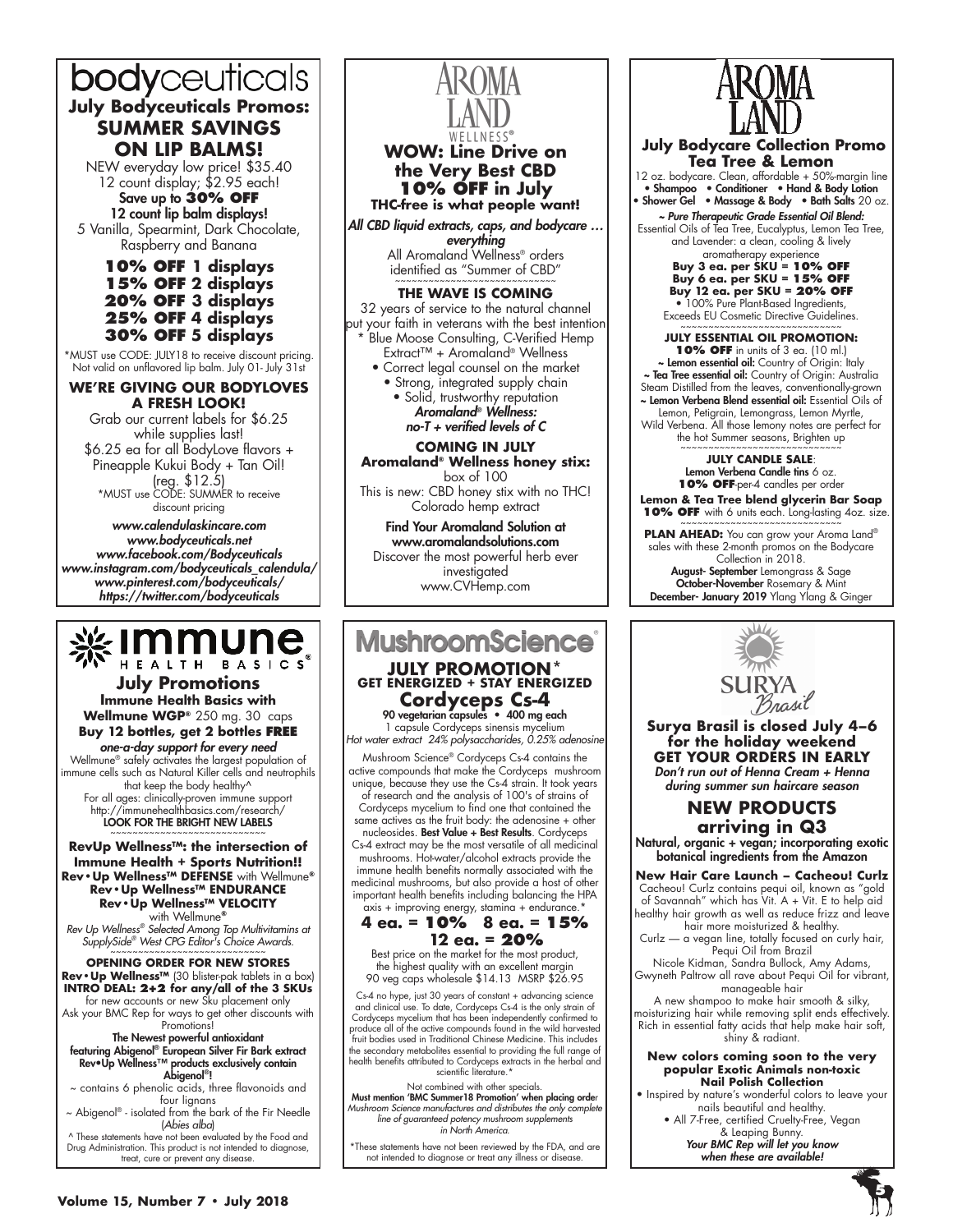# bodyceuticals **July Bodyceuticals Promos: SUMMER SAVINGS ON LIP BALMS!**

NEW everyday low price! \$35.40 12 count display; \$2.95 each!

Save up to **30% Off** 12 count lip balm displays! 5 Vanilla, spearmint, Dark Chocolate, Raspberry and Banana

> **10% Off 1 displays 15% Off 2 displays 20% Off 3 displays 25% Off 4 displays 30% Off 5 displays**

\*MUST use CODE: JULY18 to receive discount pricing. Not valid on unflavored lip balm. July 01- July 31st

#### **WE'RE GIVING OUR BODYLOVES A FRESH LOOK!**

Grab our current labels for \$6.25 while supplies last! \$6.25 ea for all Bodylove flavors + Pineapple Kukui Body + Tan Oil! (reg. \$12.5) \*MUST use CODE: SUMMER to receive

discount pricing

www.calendulaskincare.com www.bodyceuticals.net www.facebook.com/Bodyceuticals www.instagram.com/bodyceuticals\_calendula/ www.pinterest.com/bodyceuticals/ https://twitter.com/bodyceuticals

# 

**July Promotions Immune Health Basics with Wellmune WGP®** 250 mg. 30 caps **Buy 12 bottles, get 2 bottles free**

**one-a-day support for every need**<br>Wellmune® safely activates the largest population of immune cells such as Natural Killer cells and neutrophils that keep the body healthy<sup>^</sup> For all ages: clinically-proven immune support http://immunehealthbasics.com/research/

LOOK FOR THE BRIGHT NEW LABELS ~~~~~~~~~~~~~~~~~~~~~~~~

**RevUp Wellness™: the intersection of Immune Health + Sports Nutrition!! Rev•Up Wellness™ DEFENSE** with Wellmune**® Rev•Up Wellness™ ENDURANCE Rev•Up Wellness™ VELOCITY** with Wellmune**®**

*Rev Up Wellness® Selected Among Top Multivitamins at SupplySide® West CPG Editor's Choice Awards.* ~~~~~~~~~~~~~~~~~~~~~~~~~~~~

**OPENING ORDER FOR NEW STORES Rev•Up Wellness™** (30 blister-pak tablets in a box) **INTRO DEAL: 2+2 for any/all of the 3 SKUs** for new accounts or new Sku placement only

Ask your BMC Rep for ways to get other discounts with Promotions!

#### The Newest powerful antioxidant

featuring Abigenol® European Silver Fir Bark extract Rev•Up Wellness™ products exclusively contain Abigenol®!

~ contains 6 phenolic acids, three flavonoids and four lignans

 $\sim$  Abigenol® - isolated from the bark of the Fir Needle (*Abies alba*)

^ these statements have not been evaluated by the Food and Drug Administration. this product is not intended to diagnose, treat, cure or prevent any disease.



#### **WOW: Line Drive on the Very Best CBD 10% Off in July THC-free is what people want!**

*All CBD liquid extracts, caps, and bodycare …*  everything

All Aromaland Wellness® orders identified as "Summer of CBD"

#### **THE WAVE IS COMING**

32 years of service to the natural channel put your faith in veterans with the best intention \* Blue Moose Consulting, C-Verified Hemp extract™ + Aromaland® Wellness

- Correct legal counsel on the market
	- Strong, integrated supply chain
	- Solid, trustworthy reputation *Aromaland® Wellness:*

no-T + verified levels of C

#### **COMING IN JULY**

**Aromaland® Wellness honey stix:**  box of 100

This is new: CBD honey stix with no THC! Colorado hemp extract

Find Your Aromaland Solution at www.aromalandsolutions.com Discover the most powerful herb ever investigated www.CVHemp.com

# **MushroomScience**

## **JULY PROMOTION\* GET ENERGIZED + STAY ENERGIZED Cordyceps Cs-4** 90 vegetarian capsules • 400 mg each

1 capsule Cordyceps sinensis mycelium *Hot water extract 24% polysaccharides, 0.25% adenosine*

Mushroom science® Cordyceps Cs-4 contains the active compounds that make the Cordyceps mushroom unique, because they use the Cs-4 strain. it took years of research and the analysis of 100's of strains of Cordyceps mycelium to find one that contained the same actives as the fruit body: the adenosine + other

nucleosides. Best Value + Best Results. Cordyceps Cs-4 extract may be the most versatile of all medicinal mushrooms. Hot-water/alcohol extracts provide the immune health benefits normally associated with the medicinal mushrooms, but also provide a host of other important health benefits including balancing the HPA

#### axis + improving energy, stamina + endurance.\* **4 ea. = 10% 8 ea. = 15% 12 ea. = 20%**

Best price on the market for the most product, the highest quality with an excellent margin 90 veg caps wholesale \$14.13 MsRP \$26.95

Cs-4 no hype, just 30 years of constant + advancing science and clinical use. to date, Cordyceps Cs-4 is the only strain of Cordyceps mycelium that has been independently confirmed to produce all of the active compounds found in the wild harvested fruit bodies used in traditional Chinese Medicine. this includes the secondary metabolites essential to providing the full range of health benefits attributed to Cordyceps extracts in the herbal and scientific literature.\*

Not combined with other specials. Must mention 'BMC Summer18 Promotion' when placing order *Mushroom Science manufactures and distributes the only complete line of guaranteed potency mushroom supplements in North America.*

\*These statements have not been reviewed by the FDA, and are not intended to diagnose or treat any illness or disease.



 **July Bodycare Collection Promo Tea Tree & Lemon**

12 oz. bodycare. Clean, affordable + 50%-margin line • Shampoo • Conditioner • Hand & Body Lotion • Shower Gel • Massage & Body • Bath Salts 20 oz.

~ Pure Therapeutic Grade Essential Oil Blend: Essential Oils of Tea Tree, Eucalyptus, Lemon Tea Tree,

and lavender: a clean, cooling & lively aromatherapy experience

**Buy 3 ea. per SKU = 10% Off Buy 6 ea. per SKU = 15% Off Buy 12 ea. per SKU = 20% Off** • 100% Pure Plant-Based Ingredients, Exceeds EU Cosmetic Directive Guidelines.

**JULY ESSENTIAL OIL PROMOTION:**

**10% OFF** in units of 3 ea. (10 ml.)<br>Lemon essential oil: Country of Origin: Italy ~ Tea Tree essential oil: Country of Origin: Australia Steam Distilled from the leaves, conventionally-grown<br>**~ Lemon Verbena Blend essential oil:** Essential Oils of lemon, Petigrain, lemongrass, lemon Myrtle,

Wild Verbena. All those lemony notes are perfect for the hot Summer seasons, Brighten up

#### **JULY CANDLE SALE**: Lemon Verbena Candle tins 6 oz. **10% Off**-per-4 candles per order

**Lemon & Tea Tree blend glycerin Bar Soap 10% OFF** with 6 units each. Long-lasting 4oz. size.

**PLAN AHEAD:** You can grow your Aroma land® sales with these 2-month promos on the Bodycare Collection in 2018. August- September Lemongrass & Sage October-November Rosemary & Mint December- January 2019 Ylang Ylang & Ginger



**Surya Brasil is closed July 4–6 for the holiday weekend GET YOUR ORDERS IN EARLY** *Don't run out of Henna Cream + Henna during summer sun haircare season*

**NEW PRODUCTS arriving in Q3** Natural, organic + vegan; incorporating exotic botanical ingredients from the Amazon

**New Hair Care Launch – Cacheou! Curlz** Cacheou! Curlz contains pequi oil, known as "gold of Savannah" which has Vit. A + Vit. E to help aid healthy hair growth as well as reduce frizz and leave hair more moisturized & healthy.

Curlz — a vegan line, totally focused on curly hair, Pequi Oil from Brazil

Nicole Kidman, Sandra Bullock, Amy Adams, Gwyneth Paltrow all rave about Pequi Oil for vibrant, manageable hair

A new shampoo to make hair smooth & silky, moisturizing hair while removing split ends effectively. Rich in essential fatty acids that help make hair soft, shiny & radiant.

#### **New colors coming soon to the very popular Exotic Animals non-toxic Nail Polish Collection**

• Inspired by nature's wonderful colors to leave your nails beautiful and healthy.

• All 7-Free, certified Cruelty-Free, Vegan & leaping Bunny.

*Your BMC Rep will let you know*  when these are available!

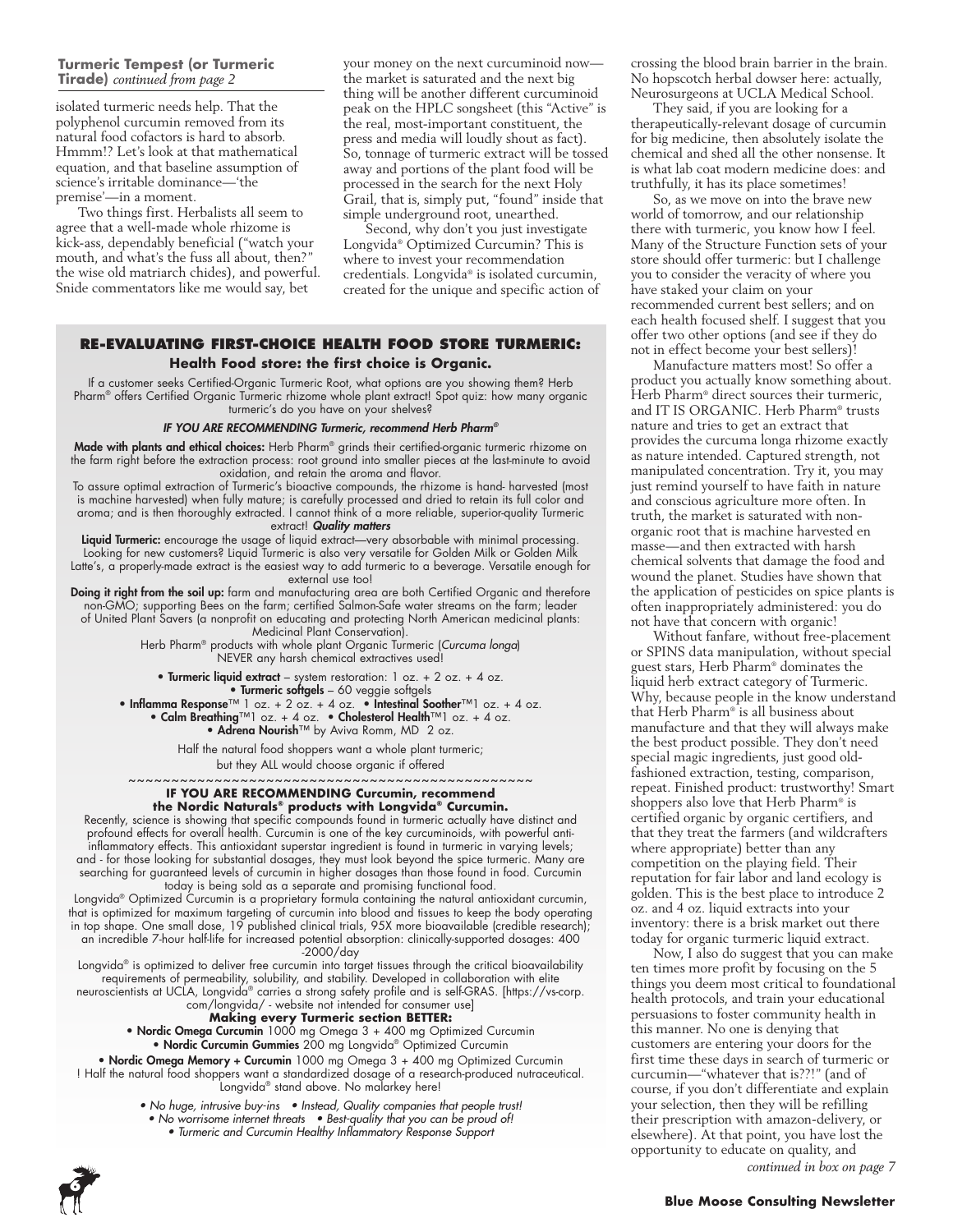#### **Turmeric Tempest (or Turmeric Address Pollution** *continued from page 2***Tirade)** *continued from page 2* **There can be no Peace Unless we**

isolated turmeric needs help. That the polyphenol curcumin removed from its natural food cofactors is hard to absorb. Hmmm!? Let's look at that mathematical equation, and that baseline assumption of science's irritable dominance—'the premise'—in a moment.

Two things first. Herbalists all seem to agree that a well-made whole rhizome is kick-ass, dependably beneficial ("watch your mouth, and what's the fuss all about, then?" the wise old matriarch chides), and powerful. Snide commentators like me would say, bet

your money on the next curcuminoid now the market is saturated and the next big thing will be another different curcuminoid peak on the HPLC songsheet (this "Active" is the real, most-important constituent, the press and media will loudly shout as fact). So, tonnage of turmeric extract will be tossed away and portions of the plant food will be processed in the search for the next Holy Grail, that is, simply put, "found" inside that simple underground root, unearthed.

Second, why don't you just investigate Longvida® Optimized Curcumin? This is where to invest your recommendation credentials. Longvida® is isolated curcumin, created for the unique and specific action of

#### **re-evAluAtiNG first-CHOiCe HeAltH fOOD stOre turMeriC: Health Food store: the first choice is Organic.**

If a customer seeks Certified-Organic Turmeric Root, what options are you showing them? Herb Pharm® offers Certified Organic Turmeric rhizome whole plant extract! Spot quiz: how many organic turmeric's do you have on your shelves?

#### IF YOU ARE RECOMMENDING Turmeric, recommend Herb Pharm*®*

Made with plants and ethical choices: Herb Pharm® grinds their certified-organic turmeric rhizome on the farm right before the extraction process: root ground into smaller pieces at the last-minute to avoid oxidation, and retain the aroma and flavor.

To assure optimal extraction of Turmeric's bioactive compounds, the rhizome is hand- harvested (most is machine harvested) when fully mature; is carefully processed and dried to retain its full color and aroma; and is then thoroughly extracted. i cannot think of a more reliable, superior-quality turmeric extract! *Quality matters*

Liquid Turmeric: encourage the usage of liquid extract-very absorbable with minimal processing. Looking for new customers? Liquid Turmeric is also very versatile for Golden Milk or Golden Milk latte's, a properly-made extract is the easiest way to add turmeric to a beverage. Versatile enough for external use too!

Doing it right from the soil up: farm and manufacturing area are both Certified Organic and therefore non-gMo; supporting Bees on the farm; certified salmon-safe water streams on the farm; leader of United Plant Savers (a nonprofit on educating and protecting North American medicinal plants: Medicinal Plant Conservation).

Herb Pharm<sup>®</sup> products with whole plant Organic Turmeric (Curcuma longa) NEVER any harsh chemical extractives used!

• Turmeric liquid extract - system restoration: 1 oz. + 2 oz. + 4 oz. • Turmeric softgels – 60 veggie softgels • Inflamma Response™ 1 oz. + 2 oz. + 4 oz. • Intestinal Soother™1 oz. + 4 oz.

• Calm Breathing™1 oz. + 4 oz. • Cholesterol Health™1 oz. + 4 oz. • Adrena Nourish<sup>™</sup> by Aviva Romm, MD 2 oz.

Half the natural food shoppers want a whole plant turmeric; but they All would choose organic if offered

~~~~~~~~~~~~~~~~~~~~~ **IF YOU ARE RECOMMENDING Curcumin, recommend** 

## **the Nordic Naturals® products with Longvida® Curcumin.**

Recently, science is showing that specific compounds found in turmeric actually have distinct and profound effects for overall health. Curcumin is one of the key curcuminoids, with powerful antiinflammatory effects. this antioxidant superstar ingredient is found in turmeric in varying levels; and - for those looking for substantial dosages, they must look beyond the spice turmeric. Many are searching for guaranteed levels of curcumin in higher dosages than those found in food. Curcumin today is being sold as a separate and promising functional food.

longvida® optimized Curcumin is a proprietary formula containing the natural antioxidant curcumin, that is optimized for maximum targeting of curcumin into blood and tissues to keep the body operating in top shape. One small dose, 19 published clinical trials, 95X more bioavailable (credible research); an incredible 7-hour half-life for increased potential absorption: clinically-supported dosages: 400 -2000/day

longvida® is optimized to deliver free curcumin into target tissues through the critical bioavailability requirements of permeability, solubility, and stability. Developed in collaboration with elite neuroscientists at uClA, longvida® carries a strong safety profile and is self-gRAs. [https://vs-corp.

com/longvida/ - website not intended for consumer use]

#### **Making every Turmeric section BETTER:**

• Nordic Omega Curcumin 1000 mg Omega 3 + 400 mg Optimized Curcumin • Nordic Curcumin Gummies 200 mg Longvida® Optimized Curcumin

• Nordic Omega Memory + Curcumin 1000 mg Omega 3 + 400 mg Optimized Curcumin ! Half the natural food shoppers want a standardized dosage of a research-produced nutraceutical. Longvida® stand above. No malarkey here!

- No huge, intrusive buy-ins Instead, Quality companies that people trust!
	- No worrisome internet threats Best-quality that you can be proud of!
		- Turmeric and Curcumin Healthy Inflammatory Response Support



crossing the blood brain barrier in the brain. No hopscotch herbal dowser here: actually, Neurosurgeons at UCLA Medical School.

They said, if you are looking for a therapeutically-relevant dosage of curcumin for big medicine, then absolutely isolate the chemical and shed all the other nonsense. It is what lab coat modern medicine does: and truthfully, it has its place sometimes!

So, as we move on into the brave new world of tomorrow, and our relationship there with turmeric, you know how I feel. Many of the Structure Function sets of your store should offer turmeric: but I challenge you to consider the veracity of where you have staked your claim on your recommended current best sellers; and on each health focused shelf. I suggest that you offer two other options (and see if they do not in effect become your best sellers)!

Manufacture matters most! So offer a product you actually know something about. Herb Pharm® direct sources their turmeric, and IT IS ORGANIC. Herb Pharm® trusts nature and tries to get an extract that provides the curcuma longa rhizome exactly as nature intended. Captured strength, not manipulated concentration. Try it, you may just remind yourself to have faith in nature and conscious agriculture more often. In truth, the market is saturated with nonorganic root that is machine harvested en masse—and then extracted with harsh chemical solvents that damage the food and wound the planet. Studies have shown that the application of pesticides on spice plants is often inappropriately administered: you do not have that concern with organic!

Without fanfare, without free-placement or SPINS data manipulation, without special guest stars, Herb Pharm® dominates the liquid herb extract category of Turmeric. Why, because people in the know understand that Herb Pharm® is all business about manufacture and that they will always make the best product possible. They don't need special magic ingredients, just good oldfashioned extraction, testing, comparison, repeat. Finished product: trustworthy! Smart shoppers also love that Herb Pharm® is certified organic by organic certifiers, and that they treat the farmers (and wildcrafters where appropriate) better than any competition on the playing field. Their reputation for fair labor and land ecology is golden. This is the best place to introduce 2 oz. and 4 oz. liquid extracts into your inventory: there is a brisk market out there today for organic turmeric liquid extract.

Now, I also do suggest that you can make ten times more profit by focusing on the 5 things you deem most critical to foundational health protocols, and train your educational persuasions to foster community health in this manner. No one is denying that customers are entering your doors for the first time these days in search of turmeric or curcumin—"whatever that is??!" (and of course, if you don't differentiate and explain your selection, then they will be refilling their prescription with amazon-delivery, or elsewhere). At that point, you have lost the opportunity to educate on quality, and

*continued in box on page 7*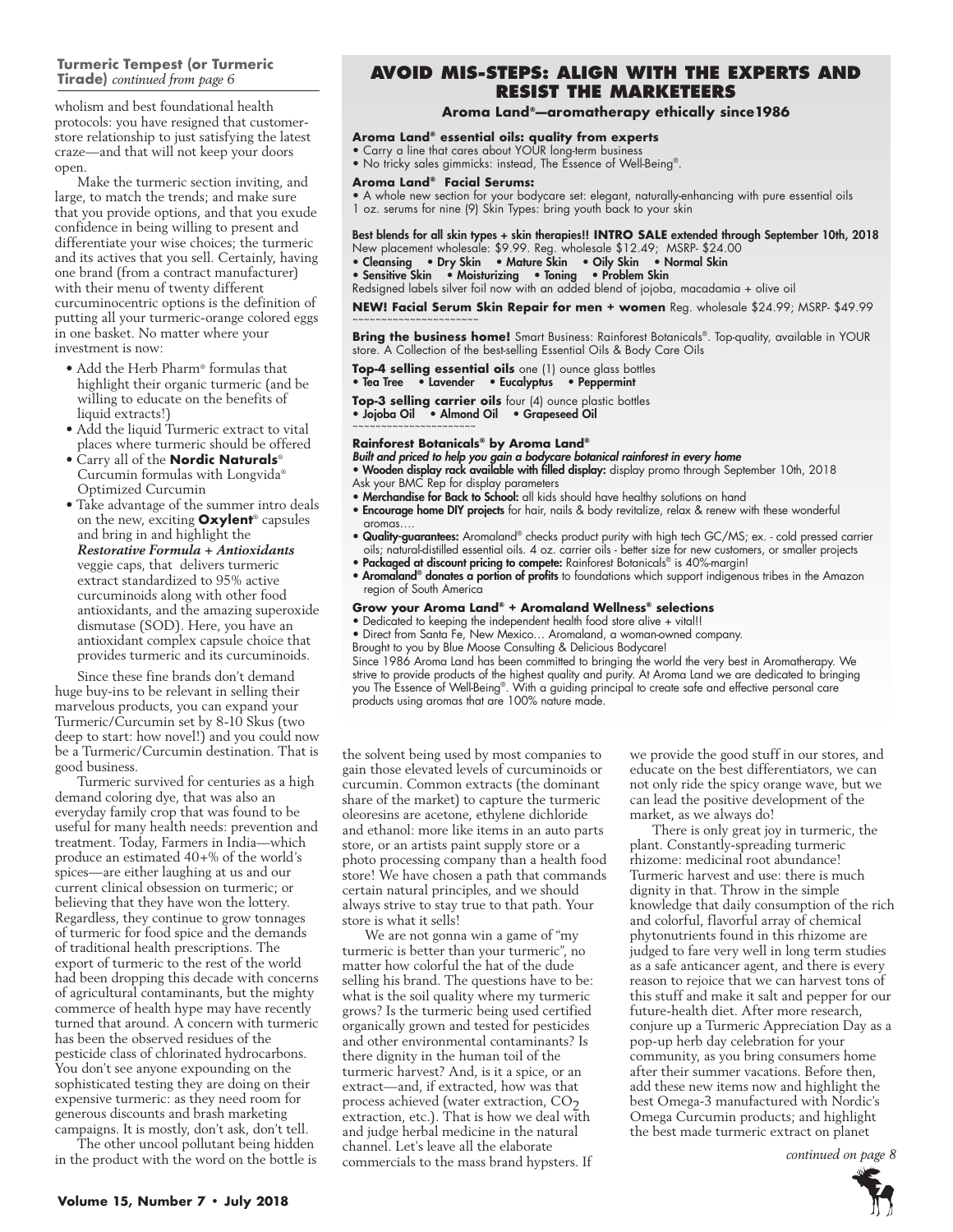#### **Turmeric Tempest (or Turmeric Tirade)** *continued from page 6*

wholism and best foundational health protocols: you have resigned that customerstore relationship to just satisfying the latest craze—and that will not keep your doors open.

Make the turmeric section inviting, and large, to match the trends; and make sure that you provide options, and that you exude confidence in being willing to present and differentiate your wise choices; the turmeric and its actives that you sell. Certainly, having one brand (from a contract manufacturer) with their menu of twenty different curcuminocentric options is the definition of putting all your turmeric-orange colored eggs in one basket. No matter where your investment is now:

- Add the Herb Pharm® formulas that highlight their organic turmeric (and be willing to educate on the benefits of liquid extracts!)
- Add the liquid Turmeric extract to vital places where turmeric should be offered
- Carry all of the **Nordic Naturals**® Curcumin formulas with Longvida® Optimized Curcumin
- Take advantage of the summer intro deals on the new, exciting **Oxylent**® capsules and bring in and highlight the *Restorative Formula + Antioxidants* veggie caps, that delivers turmeric extract standardized to 95% active curcuminoids along with other food antioxidants, and the amazing superoxide dismutase (SOD). Here, you have an antioxidant complex capsule choice that provides turmeric and its curcuminoids.

Since these fine brands don't demand huge buy-ins to be relevant in selling their marvelous products, you can expand your Turmeric/Curcumin set by 8-10 Skus (two deep to start: how novel!) and you could now be a Turmeric/Curcumin destination. That is good business.

Turmeric survived for centuries as a high demand coloring dye, that was also an everyday family crop that was found to be useful for many health needs: prevention and treatment. Today, Farmers in India—which produce an estimated 40+% of the world's spices—are either laughing at us and our current clinical obsession on turmeric; or believing that they have won the lottery. Regardless, they continue to grow tonnages of turmeric for food spice and the demands of traditional health prescriptions. The export of turmeric to the rest of the world had been dropping this decade with concerns of agricultural contaminants, but the mighty commerce of health hype may have recently turned that around. A concern with turmeric has been the observed residues of the pesticide class of chlorinated hydrocarbons. You don't see anyone expounding on the sophisticated testing they are doing on their expensive turmeric: as they need room for generous discounts and brash marketing campaigns. It is mostly, don't ask, don't tell.

The other uncool pollutant being hidden in the product with the word on the bottle is

## **Address Pollution** *continued from page 2* **AvOiD Mis-stePs: AliGN witH tHe exPerts AND resist tHe MArKeteers**

#### **Aroma Land®—aromatherapy ethically since1986**

#### **Aroma Land® essential oils: quality from experts**

- Carry a line that cares about YOUR long-term business
- No tricky sales gimmicks: instead, The Essence of Well-Being®.

#### **Aroma Land® Facial Serums:**

• A whole new section for your bodycare set: elegant, naturally-enhancing with pure essential oils 1 oz. serums for nine (9) skin types: bring youth back to your skin

Best blends for all skin types + skin therapies!! **INTRO SALE** extended through September 10th, 2018 new placement wholesale: \$9.99. Reg. wholesale \$12.49; MsRP- \$24.00

- Cleansing Dry Skin Mature Skin Oily Skin Normal Skin
- Sensitive Skin Moisturizing Toning Problem Skin

Redsigned labels silver foil now with an added blend of jojoba, macadamia + olive oil

**NEW! Facial Serum Skin Repair for men + women** Reg. wholesale \$24.99; MsRP- \$49.99 ~~~~~~~~~~~~~~~~~~

**Bring the business home!** Smart Business: Rainforest Botanicals®. Top-quality, available in YOUR store. A Collection of the best-selling Essential Oils & Body Care Oils

**Top-4 selling essential oils** one (1) ounce glass bottles • Tea Tree • Lavender • Eucalyptus • Peppermint

- **Top-3 selling carrier oils** four (4) ounce plastic bottles
- Jojoba Oil Almond Oil Grapeseed Oil

### **Rainforest Botanicals® by Aroma Land®**

~~~~~~~~~~~~~~~~~

Built and priced to help you gain a bodycare botanical rainforest in every home

- Wooden display rack available with filled display: display promo through September 10th, 2018 Ask your BMC Rep for display parameters
- Merchandise for Back to School: all kids should have healthy solutions on hand
- **Encourage home DIY projects** for hair, nails & body revitalize, relax & renew with these wonderful aromas….
- Quality-guarantees: Aromaland® checks product purity with high tech GC/MS; ex. cold pressed carrier oils; natural-distilled essential oils. 4 oz. carrier oils - better size for new customers, or smaller projects

• Packaged at discount pricing to compete: Rainforest Botanicals® is 40%-margin!

**• Aromaland<sup>®</sup> donates a portion of profits** to foundations which support indigenous tribes in the Amazon region of South America

#### **Grow your Aroma Land® + Aromaland Wellness® selections**

- Dedicated to keeping the independent health food store alive + vital!!
- Direct from Santa Fe, New Mexico… Aromaland, a woman-owned company.
- Brought to you by Blue Moose Consulting & Delicious Bodycare!

since 1986 Aroma land has been committed to bringing the world the very best in Aromatherapy. We strive to provide products of the highest quality and purity. At Aroma land we are dedicated to bringing you the essence of Well-Being®. With a guiding principal to create safe and effective personal care products using aromas that are 100% nature made.

the solvent being used by most companies to gain those elevated levels of curcuminoids or curcumin. Common extracts (the dominant share of the market) to capture the turmeric oleoresins are acetone, ethylene dichloride and ethanol: more like items in an auto parts store, or an artists paint supply store or a photo processing company than a health food store! We have chosen a path that commands certain natural principles, and we should always strive to stay true to that path. Your store is what it sells!

We are not gonna win a game of "my turmeric is better than your turmeric", no matter how colorful the hat of the dude selling his brand. The questions have to be: what is the soil quality where my turmeric grows? Is the turmeric being used certified organically grown and tested for pesticides and other environmental contaminants? Is there dignity in the human toil of the turmeric harvest? And, is it a spice, or an extract—and, if extracted, how was that<br>process achieved (water extraction, CO<sub>2</sub> extraction, etc.). That is how we deal with and judge herbal medicine in the natural channel. Let's leave all the elaborate commercials to the mass brand hypsters. If

we provide the good stuff in our stores, and educate on the best differentiators, we can not only ride the spicy orange wave, but we can lead the positive development of the market, as we always do!

There is only great joy in turmeric, the plant. Constantly-spreading turmeric rhizome: medicinal root abundance! Turmeric harvest and use: there is much dignity in that. Throw in the simple knowledge that daily consumption of the rich and colorful, flavorful array of chemical phytonutrients found in this rhizome are judged to fare very well in long term studies as a safe anticancer agent, and there is every reason to rejoice that we can harvest tons of this stuff and make it salt and pepper for our future-health diet. After more research, conjure up a Turmeric Appreciation Day as a pop-up herb day celebration for your community, as you bring consumers home after their summer vacations. Before then, add these new items now and highlight the best Omega-3 manufactured with Nordic's Omega Curcumin products; and highlight the best made turmeric extract on planet

 *continued on page 8 continued on page 8*